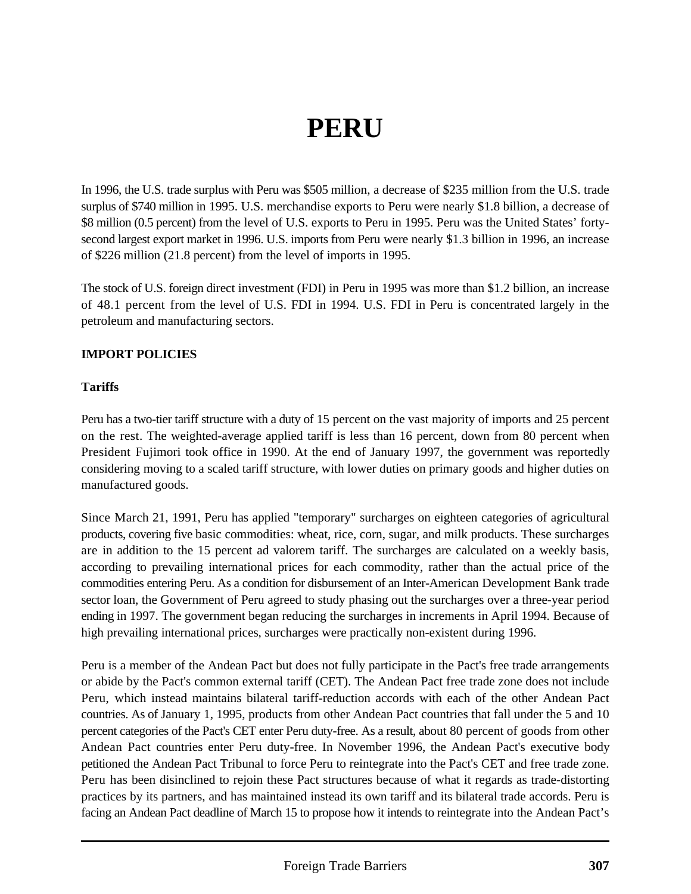# **PERU**

In 1996, the U.S. trade surplus with Peru was \$505 million, a decrease of \$235 million from the U.S. trade surplus of \$740 million in 1995. U.S. merchandise exports to Peru were nearly \$1.8 billion, a decrease of \$8 million (0.5 percent) from the level of U.S. exports to Peru in 1995. Peru was the United States' fortysecond largest export market in 1996. U.S. imports from Peru were nearly \$1.3 billion in 1996, an increase of \$226 million (21.8 percent) from the level of imports in 1995.

The stock of U.S. foreign direct investment (FDI) in Peru in 1995 was more than \$1.2 billion, an increase of 48.1 percent from the level of U.S. FDI in 1994. U.S. FDI in Peru is concentrated largely in the petroleum and manufacturing sectors.

#### **IMPORT POLICIES**

#### **Tariffs**

Peru has a two-tier tariff structure with a duty of 15 percent on the vast majority of imports and 25 percent on the rest. The weighted-average applied tariff is less than 16 percent, down from 80 percent when President Fujimori took office in 1990. At the end of January 1997, the government was reportedly considering moving to a scaled tariff structure, with lower duties on primary goods and higher duties on manufactured goods.

Since March 21, 1991, Peru has applied "temporary" surcharges on eighteen categories of agricultural products, covering five basic commodities: wheat, rice, corn, sugar, and milk products. These surcharges are in addition to the 15 percent ad valorem tariff. The surcharges are calculated on a weekly basis, according to prevailing international prices for each commodity, rather than the actual price of the commodities entering Peru. As a condition for disbursement of an Inter-American Development Bank trade sector loan, the Government of Peru agreed to study phasing out the surcharges over a three-year period ending in 1997. The government began reducing the surcharges in increments in April 1994. Because of high prevailing international prices, surcharges were practically non-existent during 1996.

Peru is a member of the Andean Pact but does not fully participate in the Pact's free trade arrangements or abide by the Pact's common external tariff (CET). The Andean Pact free trade zone does not include Peru, which instead maintains bilateral tariff-reduction accords with each of the other Andean Pact countries. As of January 1, 1995, products from other Andean Pact countries that fall under the 5 and 10 percent categories of the Pact's CET enter Peru duty-free. As a result, about 80 percent of goods from other Andean Pact countries enter Peru duty-free. In November 1996, the Andean Pact's executive body petitioned the Andean Pact Tribunal to force Peru to reintegrate into the Pact's CET and free trade zone. Peru has been disinclined to rejoin these Pact structures because of what it regards as trade-distorting practices by its partners, and has maintained instead its own tariff and its bilateral trade accords. Peru is facing an Andean Pact deadline of March 15 to propose how it intends to reintegrate into the Andean Pact's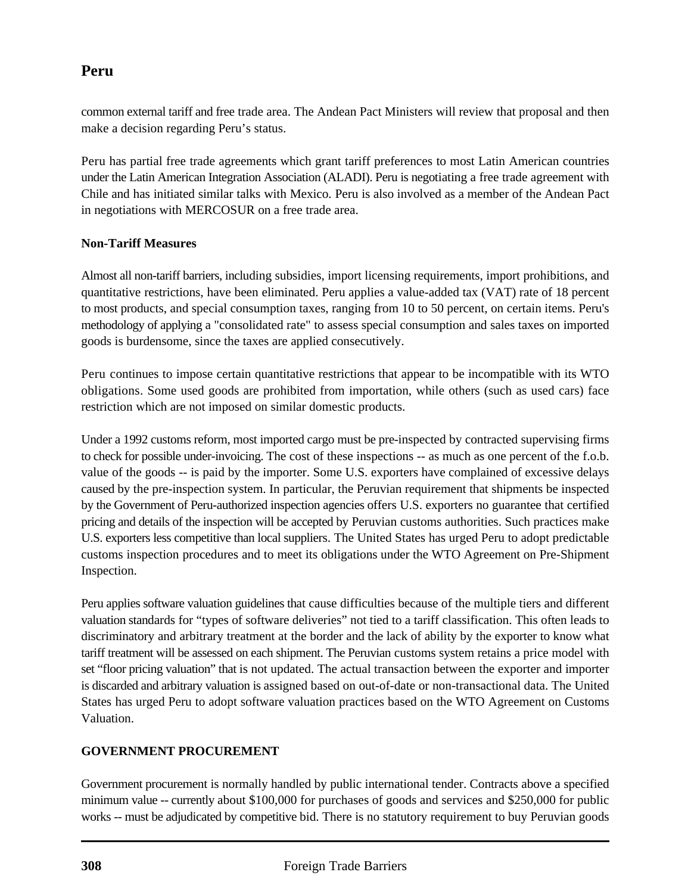# **Peru**

common external tariff and free trade area. The Andean Pact Ministers will review that proposal and then make a decision regarding Peru's status.

Peru has partial free trade agreements which grant tariff preferences to most Latin American countries under the Latin American Integration Association (ALADI). Peru is negotiating a free trade agreement with Chile and has initiated similar talks with Mexico. Peru is also involved as a member of the Andean Pact in negotiations with MERCOSUR on a free trade area.

#### **Non-Tariff Measures**

Almost all non-tariff barriers, including subsidies, import licensing requirements, import prohibitions, and quantitative restrictions, have been eliminated. Peru applies a value-added tax (VAT) rate of 18 percent to most products, and special consumption taxes, ranging from 10 to 50 percent, on certain items. Peru's methodology of applying a "consolidated rate" to assess special consumption and sales taxes on imported goods is burdensome, since the taxes are applied consecutively.

Peru continues to impose certain quantitative restrictions that appear to be incompatible with its WTO obligations. Some used goods are prohibited from importation, while others (such as used cars) face restriction which are not imposed on similar domestic products.

Under a 1992 customs reform, most imported cargo must be pre-inspected by contracted supervising firms to check for possible under-invoicing. The cost of these inspections -- as much as one percent of the f.o.b. value of the goods -- is paid by the importer. Some U.S. exporters have complained of excessive delays caused by the pre-inspection system. In particular, the Peruvian requirement that shipments be inspected by the Government of Peru-authorized inspection agencies offers U.S. exporters no guarantee that certified pricing and details of the inspection will be accepted by Peruvian customs authorities. Such practices make U.S. exporters less competitive than local suppliers. The United States has urged Peru to adopt predictable customs inspection procedures and to meet its obligations under the WTO Agreement on Pre-Shipment Inspection.

Peru applies software valuation guidelines that cause difficulties because of the multiple tiers and different valuation standards for "types of software deliveries" not tied to a tariff classification. This often leads to discriminatory and arbitrary treatment at the border and the lack of ability by the exporter to know what tariff treatment will be assessed on each shipment. The Peruvian customs system retains a price model with set "floor pricing valuation" that is not updated. The actual transaction between the exporter and importer is discarded and arbitrary valuation is assigned based on out-of-date or non-transactional data. The United States has urged Peru to adopt software valuation practices based on the WTO Agreement on Customs Valuation.

#### **GOVERNMENT PROCUREMENT**

Government procurement is normally handled by public international tender. Contracts above a specified minimum value -- currently about \$100,000 for purchases of goods and services and \$250,000 for public works -- must be adjudicated by competitive bid. There is no statutory requirement to buy Peruvian goods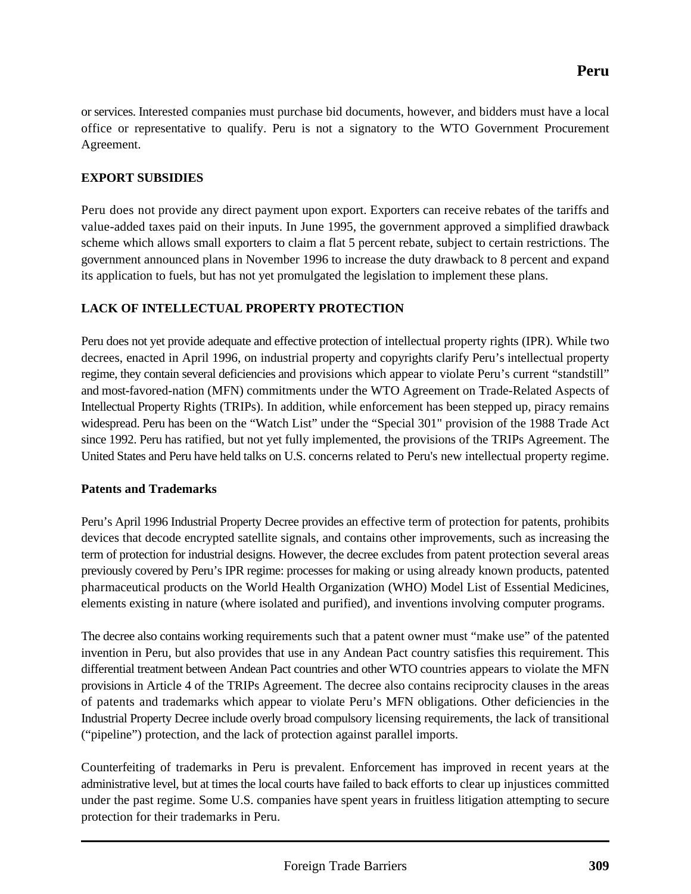or services. Interested companies must purchase bid documents, however, and bidders must have a local office or representative to qualify. Peru is not a signatory to the WTO Government Procurement Agreement.

## **EXPORT SUBSIDIES**

Peru does not provide any direct payment upon export. Exporters can receive rebates of the tariffs and value-added taxes paid on their inputs. In June 1995, the government approved a simplified drawback scheme which allows small exporters to claim a flat 5 percent rebate, subject to certain restrictions. The government announced plans in November 1996 to increase the duty drawback to 8 percent and expand its application to fuels, but has not yet promulgated the legislation to implement these plans.

### **LACK OF INTELLECTUAL PROPERTY PROTECTION**

Peru does not yet provide adequate and effective protection of intellectual property rights (IPR). While two decrees, enacted in April 1996, on industrial property and copyrights clarify Peru's intellectual property regime, they contain several deficiencies and provisions which appear to violate Peru's current "standstill" and most-favored-nation (MFN) commitments under the WTO Agreement on Trade-Related Aspects of Intellectual Property Rights (TRIPs). In addition, while enforcement has been stepped up, piracy remains widespread. Peru has been on the "Watch List" under the "Special 301" provision of the 1988 Trade Act since 1992. Peru has ratified, but not yet fully implemented, the provisions of the TRIPs Agreement. The United States and Peru have held talks on U.S. concerns related to Peru's new intellectual property regime.

#### **Patents and Trademarks**

Peru's April 1996 Industrial Property Decree provides an effective term of protection for patents, prohibits devices that decode encrypted satellite signals, and contains other improvements, such as increasing the term of protection for industrial designs. However, the decree excludes from patent protection several areas previously covered by Peru's IPR regime: processes for making or using already known products, patented pharmaceutical products on the World Health Organization (WHO) Model List of Essential Medicines, elements existing in nature (where isolated and purified), and inventions involving computer programs.

The decree also contains working requirements such that a patent owner must "make use" of the patented invention in Peru, but also provides that use in any Andean Pact country satisfies this requirement. This differential treatment between Andean Pact countries and other WTO countries appears to violate the MFN provisions in Article 4 of the TRIPs Agreement. The decree also contains reciprocity clauses in the areas of patents and trademarks which appear to violate Peru's MFN obligations. Other deficiencies in the Industrial Property Decree include overly broad compulsory licensing requirements, the lack of transitional ("pipeline") protection, and the lack of protection against parallel imports.

Counterfeiting of trademarks in Peru is prevalent. Enforcement has improved in recent years at the administrative level, but at times the local courts have failed to back efforts to clear up injustices committed under the past regime. Some U.S. companies have spent years in fruitless litigation attempting to secure protection for their trademarks in Peru.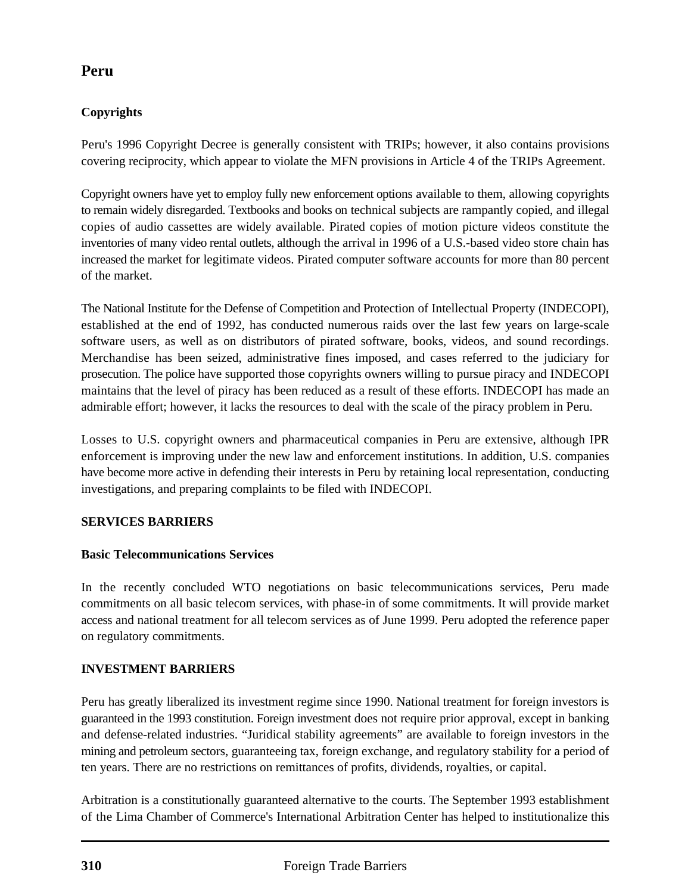# **Peru**

## **Copyrights**

Peru's 1996 Copyright Decree is generally consistent with TRIPs; however, it also contains provisions covering reciprocity, which appear to violate the MFN provisions in Article 4 of the TRIPs Agreement.

Copyright owners have yet to employ fully new enforcement options available to them, allowing copyrights to remain widely disregarded. Textbooks and books on technical subjects are rampantly copied, and illegal copies of audio cassettes are widely available. Pirated copies of motion picture videos constitute the inventories of many video rental outlets, although the arrival in 1996 of a U.S.-based video store chain has increased the market for legitimate videos. Pirated computer software accounts for more than 80 percent of the market.

The National Institute for the Defense of Competition and Protection of Intellectual Property (INDECOPI), established at the end of 1992, has conducted numerous raids over the last few years on large-scale software users, as well as on distributors of pirated software, books, videos, and sound recordings. Merchandise has been seized, administrative fines imposed, and cases referred to the judiciary for prosecution. The police have supported those copyrights owners willing to pursue piracy and INDECOPI maintains that the level of piracy has been reduced as a result of these efforts. INDECOPI has made an admirable effort; however, it lacks the resources to deal with the scale of the piracy problem in Peru.

Losses to U.S. copyright owners and pharmaceutical companies in Peru are extensive, although IPR enforcement is improving under the new law and enforcement institutions. In addition, U.S. companies have become more active in defending their interests in Peru by retaining local representation, conducting investigations, and preparing complaints to be filed with INDECOPI.

#### **SERVICES BARRIERS**

#### **Basic Telecommunications Services**

In the recently concluded WTO negotiations on basic telecommunications services, Peru made commitments on all basic telecom services, with phase-in of some commitments. It will provide market access and national treatment for all telecom services as of June 1999. Peru adopted the reference paper on regulatory commitments.

#### **INVESTMENT BARRIERS**

Peru has greatly liberalized its investment regime since 1990. National treatment for foreign investors is guaranteed in the 1993 constitution. Foreign investment does not require prior approval, except in banking and defense-related industries. "Juridical stability agreements" are available to foreign investors in the mining and petroleum sectors, guaranteeing tax, foreign exchange, and regulatory stability for a period of ten years. There are no restrictions on remittances of profits, dividends, royalties, or capital.

Arbitration is a constitutionally guaranteed alternative to the courts. The September 1993 establishment of the Lima Chamber of Commerce's International Arbitration Center has helped to institutionalize this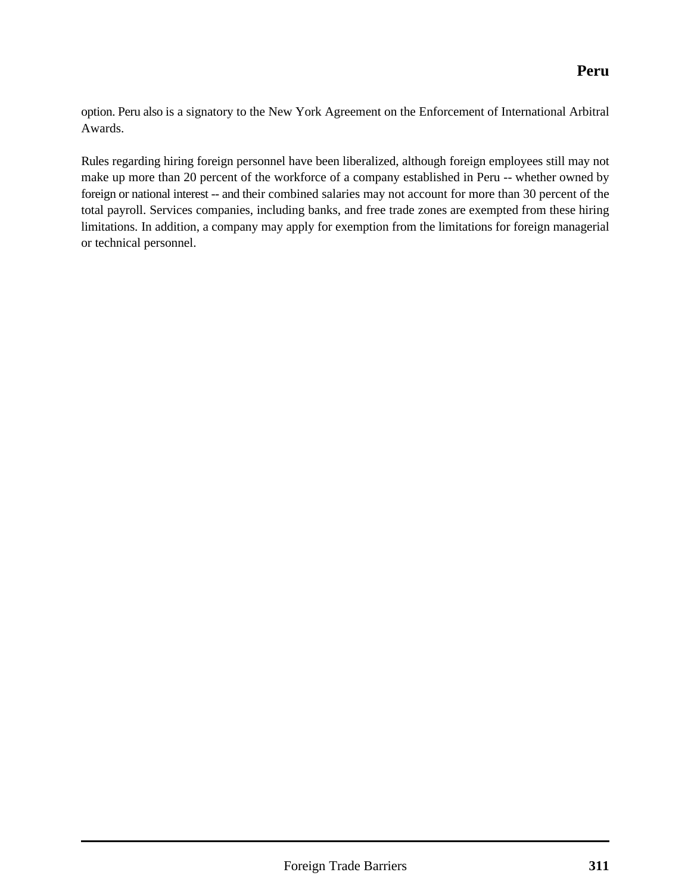option. Peru also is a signatory to the New York Agreement on the Enforcement of International Arbitral Awards.

Rules regarding hiring foreign personnel have been liberalized, although foreign employees still may not make up more than 20 percent of the workforce of a company established in Peru -- whether owned by foreign or national interest -- and their combined salaries may not account for more than 30 percent of the total payroll. Services companies, including banks, and free trade zones are exempted from these hiring limitations. In addition, a company may apply for exemption from the limitations for foreign managerial or technical personnel.